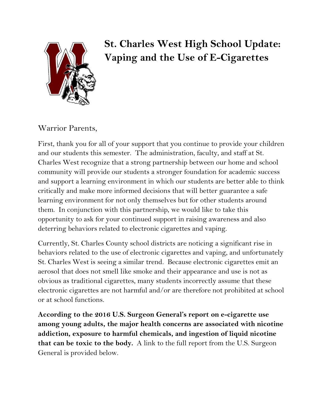

# **St. Charles West High School Update: Vaping and the Use of E-Cigarettes**

### Warrior Parents,

First, thank you for all of your support that you continue to provide your children and our students this semester. The administration, faculty, and staff at St. Charles West recognize that a strong partnership between our home and school community will provide our students a stronger foundation for academic success and support a learning environment in which our students are better able to think critically and make more informed decisions that will better guarantee a safe learning environment for not only themselves but for other students around them. In conjunction with this partnership, we would like to take this opportunity to ask for your continued support in raising awareness and also deterring behaviors related to electronic cigarettes and vaping.

Currently, St. Charles County school districts are noticing a significant rise in behaviors related to the use of electronic cigarettes and vaping, and unfortunately St. Charles West is seeing a similar trend. Because electronic cigarettes emit an aerosol that does not smell like smoke and their appearance and use is not as obvious as traditional cigarettes, many students incorrectly assume that these electronic cigarettes are not harmful and/or are therefore not prohibited at school or at school functions.

**According to the 2016 U.S. Surgeon General's report on e-cigarette use among young adults, the major health concerns are associated with nicotine addiction, exposure to harmful chemicals, and ingestion of liquid nicotine that can be toxic to the body.** A link to the full report from the U.S. Surgeon General is provided below.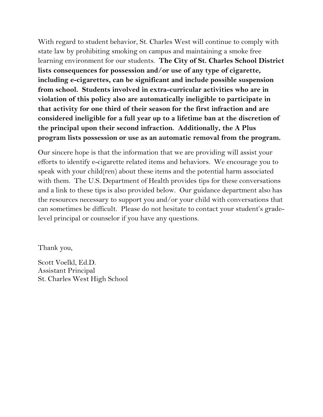With regard to student behavior, St. Charles West will continue to comply with state law by prohibiting smoking on campus and maintaining a smoke free learning environment for our students. **The City of St. Charles School District lists consequences for possession and/or use of any type of cigarette, including e-cigarettes, can be significant and include possible suspension from school. Students involved in extra-curricular activities who are in violation of this policy also are automatically ineligible to participate in that activity for one third of their season for the first infraction and are considered ineligible for a full year up to a lifetime ban at the discretion of the principal upon their second infraction. Additionally, the A Plus program lists possession or use as an automatic removal from the program.**

Our sincere hope is that the information that we are providing will assist your efforts to identify e-cigarette related items and behaviors. We encourage you to speak with your child(ren) about these items and the potential harm associated with them. The U.S. Department of Health provides tips for these conversations and a link to these tips is also provided below. Our guidance department also has the resources necessary to support you and/or your child with conversations that can sometimes be difficult. Please do not hesitate to contact your student's gradelevel principal or counselor if you have any questions.

Thank you,

Scott Voelkl, Ed.D. Assistant Principal St. Charles West High School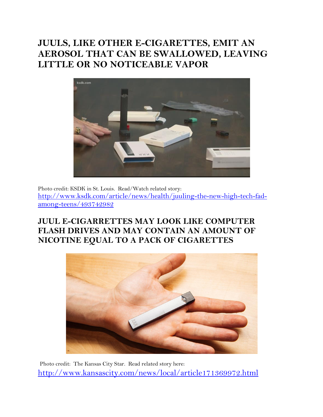# **JUULS, LIKE OTHER E-CIGARETTES, EMIT AN AEROSOL THAT CAN BE SWALLOWED, LEAVING LITTLE OR NO NOTICEABLE VAPOR**



Photo credit: KSDK in St. Louis. Read/Watch related story: [http://www.ksdk.com/article/news/health/juuling-the-new-high-tech-fad](http://www.ksdk.com/article/news/health/juuling-the-new-high-tech-fad-among-teens/493742982)[among-teens/493742982](http://www.ksdk.com/article/news/health/juuling-the-new-high-tech-fad-among-teens/493742982)

### **JUUL E-CIGARRETTES MAY LOOK LIKE COMPUTER FLASH DRIVES AND MAY CONTAIN AN AMOUNT OF NICOTINE EQUAL TO A PACK OF CIGARETTES**



Photo credit: The Kansas City Star. Read related story here: <http://www.kansascity.com/news/local/article171369972.html>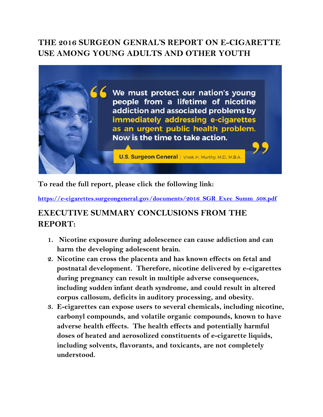### **THE 2016 SURGEON GENRAL'S REPORT ON E-CIGARETTE USE AMONG YOUNG ADULTS AND OTHER YOUTH**



**To read the full report, please click the following link:**

**[https://e-cigarettes.surgeongeneral.gov/documents/2016\\_SGR\\_Exec\\_Summ\\_508.pdf](https://e-cigarettes.surgeongeneral.gov/documents/2016_SGR_Exec_Summ_508.pdf)**

### **EXECUTIVE SUMMARY CONCLUSIONS FROM THE REPORT:**

- **1. Nicotine exposure during adolescence can cause addiction and can harm the developing adolescent brain.**
- **2. Nicotine can cross the placenta and has known effects on fetal and postnatal development. Therefore, nicotine delivered by e-cigarettes during pregnancy can result in multiple adverse consequences, including sudden infant death syndrome, and could result in altered corpus callosum, deficits in auditory processing, and obesity.**
- **3. E-cigarettes can expose users to several chemicals, including nicotine, carbonyl compounds, and volatile organic compounds, known to have adverse health effects. The health effects and potentially harmful doses of heated and aerosolized constituents of e-cigarette liquids, including solvents, flavorants, and toxicants, are not completely understood.**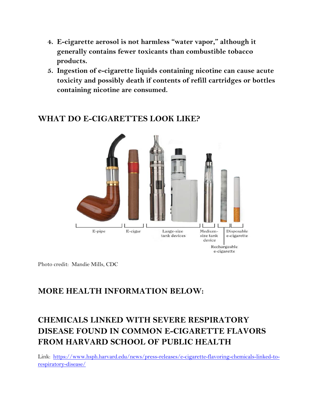- **4. E-cigarette aerosol is not harmless "water vapor," although it generally contains fewer toxicants than combustible tobacco products.**
- **5. Ingestion of e-cigarette liquids containing nicotine can cause acute toxicity and possibly death if contents of refill cartridges or bottles containing nicotine are consumed.**



#### **WHAT DO E-CIGARETTES LOOK LIKE?**

Photo credit: Mandie Mills, CDC

#### **MORE HEALTH INFORMATION BELOW:**

# **CHEMICALS LINKED WITH SEVERE RESPIRATORY DISEASE FOUND IN COMMON E-CIGARETTE FLAVORS FROM HARVARD SCHOOL OF PUBLIC HEALTH**

Link: [https://www.hsph.harvard.edu/news/press-releases/e-cigarette-flavoring-chemicals-linked-to](https://www.hsph.harvard.edu/news/press-releases/e-cigarette-flavoring-chemicals-linked-to-respiratory-disease/)[respiratory-disease/](https://www.hsph.harvard.edu/news/press-releases/e-cigarette-flavoring-chemicals-linked-to-respiratory-disease/)